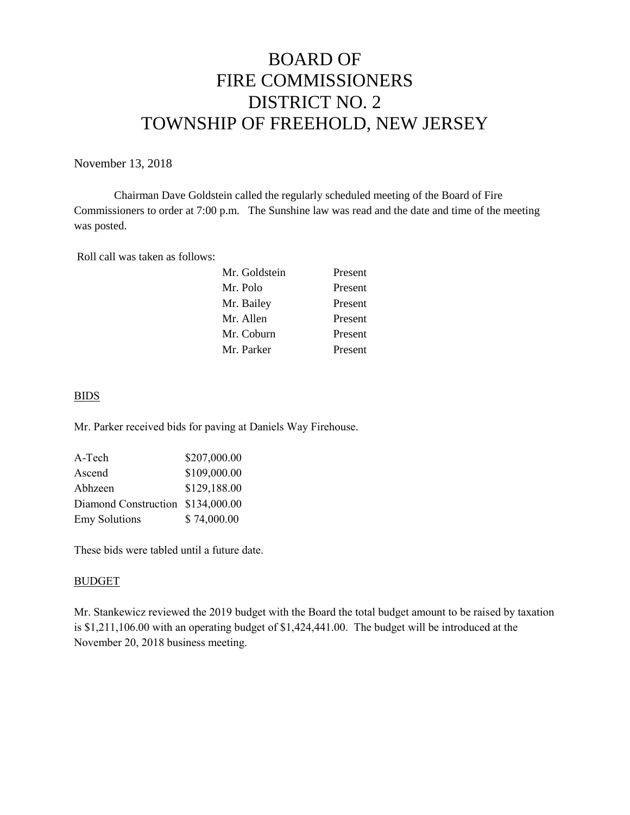# BOARD OF FIRE COMMISSIONERS DISTRICT NO. 2 TOWNSHIP OF FREEHOLD, NEW JERSEY

November 13, 2018

Chairman Dave Goldstein called the regularly scheduled meeting of the Board of Fire Commissioners to order at 7:00 p.m. The Sunshine law was read and the date and time of the meeting was posted.

Roll call was taken as follows:

| Present |
|---------|
| Present |
| Present |
| Present |
| Present |
| Present |
|         |

#### BIDS

Mr. Parker received bids for paving at Daniels Way Firehouse.

| \$207,000.00                      |
|-----------------------------------|
| \$109,000.00                      |
| \$129,188.00                      |
| Diamond Construction \$134,000.00 |
| \$74,000.00                       |
|                                   |

These bids were tabled until a future date.

#### BUDGET

Mr. Stankewicz reviewed the 2019 budget with the Board the total budget amount to be raised by taxation is \$1,211,106.00 with an operating budget of \$1,424,441.00. The budget will be introduced at the November 20, 2018 business meeting.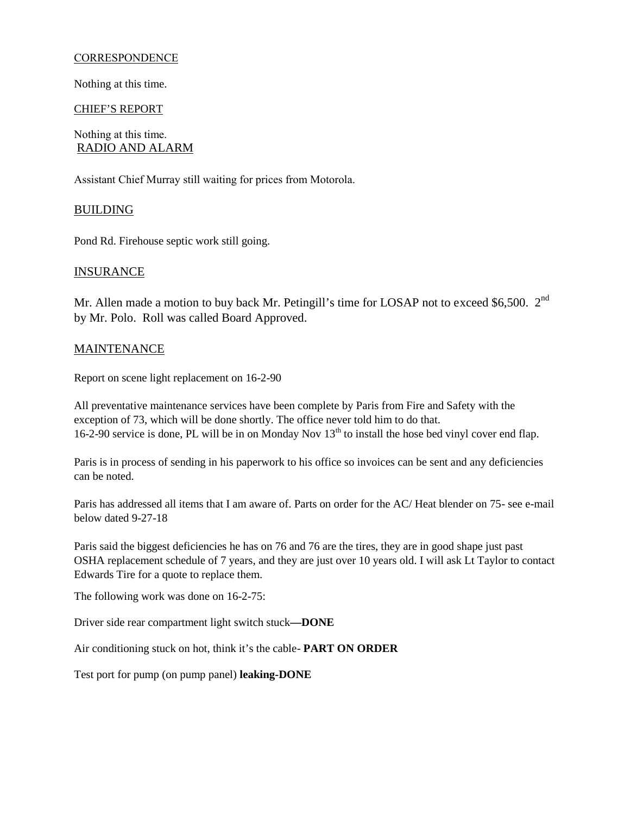#### **CORRESPONDENCE**

Nothing at this time.

#### CHIEF'S REPORT

Nothing at this time. RADIO AND ALARM

Assistant Chief Murray still waiting for prices from Motorola.

# BUILDING

Pond Rd. Firehouse septic work still going.

# **INSURANCE**

Mr. Allen made a motion to buy back Mr. Petingill's time for LOSAP not to exceed \$6,500. 2<sup>nd</sup> by Mr. Polo. Roll was called Board Approved.

# **MAINTENANCE**

Report on scene light replacement on 16-2-90

All preventative maintenance services have been complete by Paris from Fire and Safety with the exception of 73, which will be done shortly. The office never told him to do that. 16-2-90 service is done, PL will be in on Monday Nov  $13<sup>th</sup>$  to install the hose bed vinyl cover end flap.

Paris is in process of sending in his paperwork to his office so invoices can be sent and any deficiencies can be noted.

Paris has addressed all items that I am aware of. Parts on order for the AC/ Heat blender on 75- see e-mail below dated 9-27-18

Paris said the biggest deficiencies he has on 76 and 76 are the tires, they are in good shape just past OSHA replacement schedule of 7 years, and they are just over 10 years old. I will ask Lt Taylor to contact Edwards Tire for a quote to replace them.

The following work was done on 16-2-75:

Driver side rear compartment light switch stuck**—DONE**

Air conditioning stuck on hot, think it's the cable- **PART ON ORDER**

Test port for pump (on pump panel) **leaking-DONE**